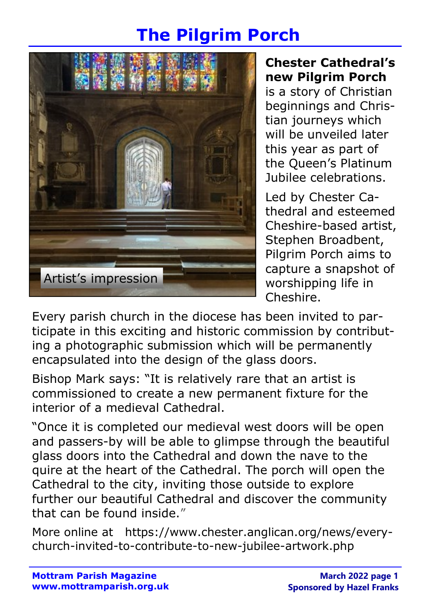# The Pilgrim Porch



### Chester Cathedral's new Pilgrim Porch

is a story of Christian beginnings and Christian journeys which will be unveiled later this year as part of the Queen's Platinum Jubilee celebrations.

Led by Chester Cathedral and esteemed Cheshire-based artist, Stephen Broadbent, Pilgrim Porch aims to capture a snapshot of worshipping life in Cheshire.

Every parish church in the diocese has been invited to participate in this exciting and historic commission by contributing a photographic submission which will be permanently encapsulated into the design of the glass doors.

Bishop Mark says: "It is relatively rare that an artist is commissioned to create a new permanent fixture for the interior of a medieval Cathedral.

"Once it is completed our medieval west doors will be open and passers-by will be able to glimpse through the beautiful glass doors into the Cathedral and down the nave to the quire at the heart of the Cathedral. The porch will open the Cathedral to the city, inviting those outside to explore further our beautiful Cathedral and discover the community that can be found inside."

More online at https://www.chester.anglican.org/news/everychurch-invited-to-contribute-to-new-jubilee-artwork.php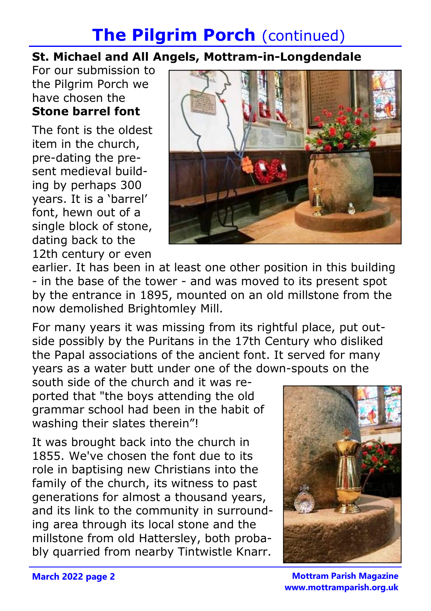## **The Pilgrim Porch (continued)**

### St. Michael and All Angels, Mottram-in-Longdendale

For our submission to the Pilgrim Porch we have chosen the Stone barrel font

The font is the oldest item in the church, pre-dating the present medieval building by perhaps 300 years. It is a 'barrel' font, hewn out of a single block of stone, dating back to the 12th century or even



earlier. It has been in at least one other position in this building - in the base of the tower - and was moved to its present spot by the entrance in 1895, mounted on an old millstone from the now demolished Brightomley Mill.

For many years it was missing from its rightful place, put outside possibly by the Puritans in the 17th Century who disliked the Papal associations of the ancient font. It served for many years as a water butt under one of the down-spouts on the

south side of the church and it was reported that "the boys attending the old grammar school had been in the habit of washing their slates therein"!

It was brought back into the church in 1855. We've chosen the font due to its role in baptising new Christians into the family of the church, its witness to past generations for almost a thousand years, and its link to the community in surrounding area through its local stone and the millstone from old Hattersley, both probably quarried from nearby Tintwistle Knarr.



Mottram Parish Magazine www.mottramparish.org.uk